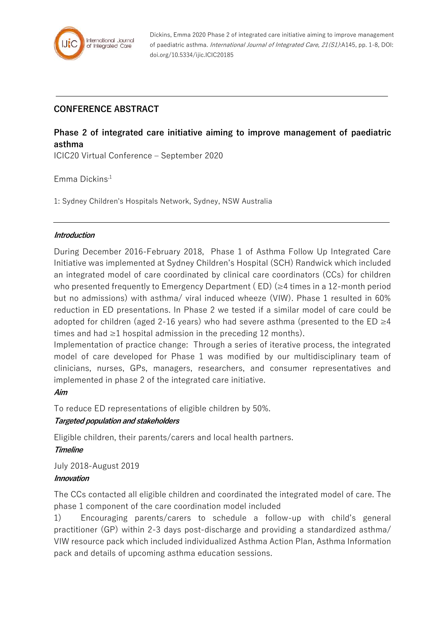

Dickins, Emma 2020 Phase 2 of integrated care initiative aiming to improve management of paediatric asthma. International Journal of Integrated Care, 21(S1):A145, pp. 1-8, DOI: doi.org/10.5334/ijic.ICIC20185

## **CONFERENCE ABSTRACT**

# **Phase 2 of integrated care initiative aiming to improve management of paediatric asthma**

ICIC20 Virtual Conference – September 2020

Emma Dickins,1

1: Sydney Children's Hospitals Network, Sydney, NSW Australia

#### **Introduction**

During December 2016-February 2018, Phase 1 of Asthma Follow Up Integrated Care Initiative was implemented at Sydney Children's Hospital (SCH) Randwick which included an integrated model of care coordinated by clinical care coordinators (CCs) for children who presented frequently to Emergency Department ( $ED$ ) ( $\geq$ 4 times in a 12-month period but no admissions) with asthma/ viral induced wheeze (VIW). Phase 1 resulted in 60% reduction in ED presentations. In Phase 2 we tested if a similar model of care could be adopted for children (aged 2-16 years) who had severe asthma (presented to the ED  $\geq$ 4 times and had  $\geq 1$  hospital admission in the preceding 12 months).

Implementation of practice change: Through a series of iterative process, the integrated model of care developed for Phase 1 was modified by our multidisciplinary team of clinicians, nurses, GPs, managers, researchers, and consumer representatives and implemented in phase 2 of the integrated care initiative.

#### **Aim**

To reduce ED representations of eligible children by 50%.

#### **Targeted population and stakeholders**

Eligible children, their parents/carers and local health partners.

### **Timeline**

July 2018-August 2019 **Innovation**

The CCs contacted all eligible children and coordinated the integrated model of care. The phase 1 component of the care coordination model included

1) Encouraging parents/carers to schedule a follow-up with child's general practitioner (GP) within 2-3 days post-discharge and providing a standardized asthma/ VIW resource pack which included individualized Asthma Action Plan, Asthma Information pack and details of upcoming asthma education sessions.